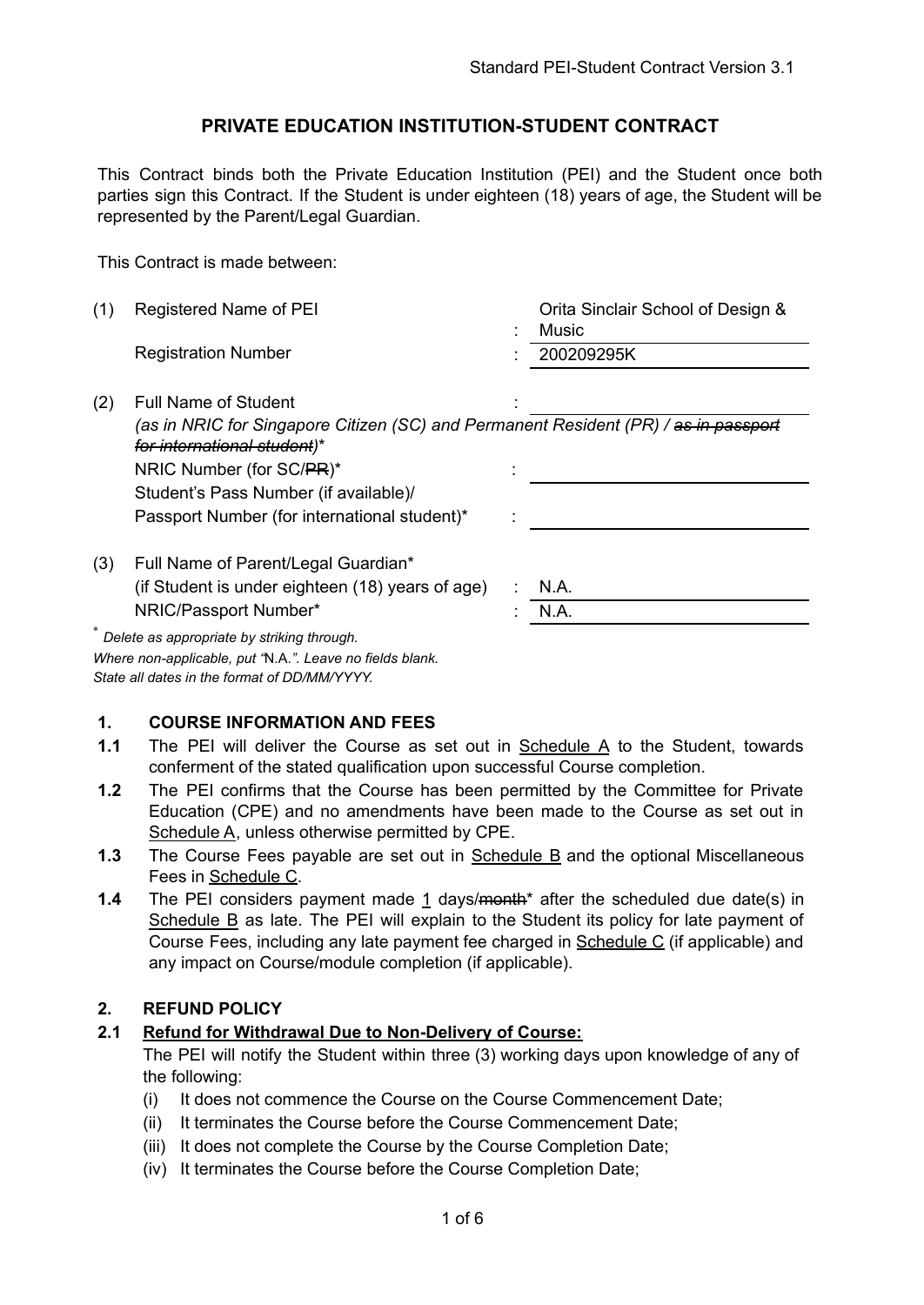### **PRIVATE EDUCATION INSTITUTION-STUDENT CONTRACT**

This Contract binds both the Private Education Institution (PEI) and the Student once both parties sign this Contract. If the Student is under eighteen (18) years of age, the Student will be represented by the Parent/Legal Guardian.

This Contract is made between:

| (1) | Registered Name of PEI                                                                                                        |  | Orita Sinclair School of Design &<br><b>Music</b> |  |  |
|-----|-------------------------------------------------------------------------------------------------------------------------------|--|---------------------------------------------------|--|--|
|     | <b>Registration Number</b>                                                                                                    |  | 200209295K                                        |  |  |
| (2) | <b>Full Name of Student</b>                                                                                                   |  |                                                   |  |  |
|     | (as in NRIC for Singapore Citizen (SC) and Permanent Resident (PR) / <del>as in passport</del><br>for international student)* |  |                                                   |  |  |
|     | NRIC Number (for SC/PR)*                                                                                                      |  |                                                   |  |  |
|     | Student's Pass Number (if available)/                                                                                         |  |                                                   |  |  |
|     | Passport Number (for international student)*                                                                                  |  |                                                   |  |  |
| (3) | Full Name of Parent/Legal Guardian*                                                                                           |  |                                                   |  |  |
|     | (if Student is under eighteen (18) years of age)                                                                              |  | N.A.                                              |  |  |
|     | NRIC/Passport Number*                                                                                                         |  | N.A.                                              |  |  |
|     | Delete as appropriate by striking through.                                                                                    |  |                                                   |  |  |

*Where non-applicable, put "*N.A.*". Leave no fields blank. State all dates in the format of DD/MM/YYYY.*

#### **1. COURSE INFORMATION AND FEES**

- **1.1** The PEI will deliver the Course as set out in Schedule A to the Student, towards conferment of the stated qualification upon successful Course completion.
- **1.2** The PEI confirms that the Course has been permitted by the Committee for Private Education (CPE) and no amendments have been made to the Course as set out in Schedule A, unless otherwise permitted by CPE.
- **1.3** The Course Fees payable are set out in Schedule B and the optional Miscellaneous Fees in Schedule C.
- **1.4** The PEI considers payment made 1 days/<del>month</del>\* after the scheduled due date(s) in Schedule B as late. The PEI will explain to the Student its policy for late payment of Course Fees, including any late payment fee charged in Schedule C (if applicable) and any impact on Course/module completion (if applicable).

#### **2. REFUND POLICY**

#### **2.1 Refund for Withdrawal Due to Non-Delivery of Course:**

The PEI will notify the Student within three (3) working days upon knowledge of any of the following:

- (i) It does not commence the Course on the Course Commencement Date;
- (ii) It terminates the Course before the Course Commencement Date;
- (iii) It does not complete the Course by the Course Completion Date;
- (iv) It terminates the Course before the Course Completion Date;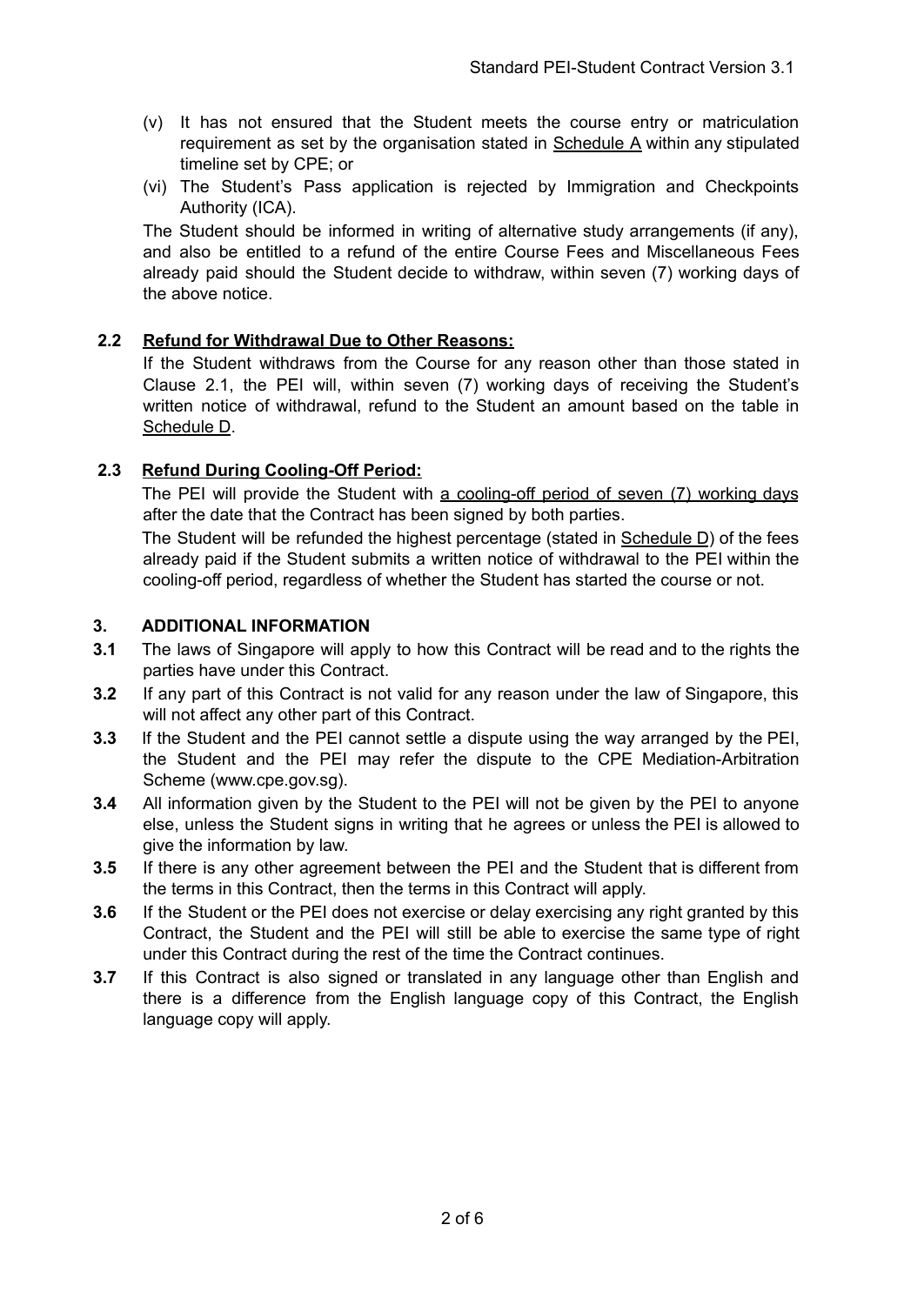- (v) It has not ensured that the Student meets the course entry or matriculation requirement as set by the organisation stated in Schedule A within any stipulated timeline set by CPE; or
- (vi) The Student's Pass application is rejected by Immigration and Checkpoints Authority (ICA).

The Student should be informed in writing of alternative study arrangements (if any), and also be entitled to a refund of the entire Course Fees and Miscellaneous Fees already paid should the Student decide to withdraw, within seven (7) working days of the above notice.

#### **2.2 Refund for Withdrawal Due to Other Reasons:**

If the Student withdraws from the Course for any reason other than those stated in Clause 2.1, the PEI will, within seven (7) working days of receiving the Student's written notice of withdrawal, refund to the Student an amount based on the table in Schedule D.

### **2.3 Refund During Cooling-Off Period:**

The PEI will provide the Student with a cooling-off period of seven (7) working days after the date that the Contract has been signed by both parties.

The Student will be refunded the highest percentage (stated in Schedule D) of the fees already paid if the Student submits a written notice of withdrawal to the PEI within the cooling-off period, regardless of whether the Student has started the course or not.

### **3. ADDITIONAL INFORMATION**

- **3.1** The laws of Singapore will apply to how this Contract will be read and to the rights the parties have under this Contract.
- **3.2** If any part of this Contract is not valid for any reason under the law of Singapore, this will not affect any other part of this Contract.
- **3.3** If the Student and the PEI cannot settle a dispute using the way arranged by the PEI, the Student and the PEI may refer the dispute to the CPE Mediation-Arbitration Scheme (www.cpe.gov.sg).
- **3.4** All information given by the Student to the PEI will not be given by the PEI to anyone else, unless the Student signs in writing that he agrees or unless the PEI is allowed to give the information by law.
- **3.5** If there is any other agreement between the PEI and the Student that is different from the terms in this Contract, then the terms in this Contract will apply.
- **3.6** If the Student or the PEI does not exercise or delay exercising any right granted by this Contract, the Student and the PEI will still be able to exercise the same type of right under this Contract during the rest of the time the Contract continues.
- **3.7** If this Contract is also signed or translated in any language other than English and there is a difference from the English language copy of this Contract, the English language copy will apply.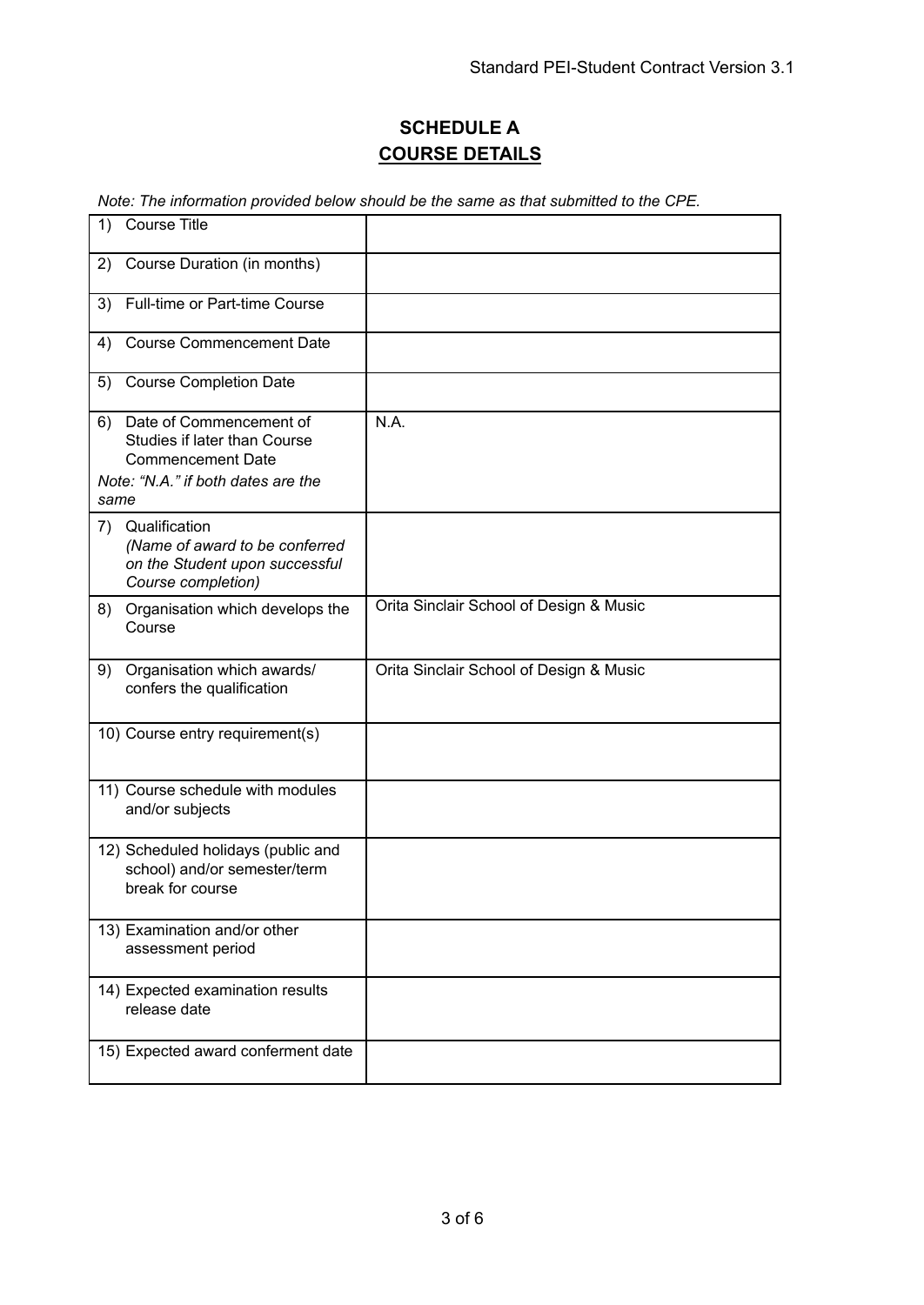# **SCHEDULE A COURSE DETAILS**

*Note: The information provided below should be the same as that submitted to the CPE.*

| <b>Course Title</b><br>1)                                                                                                       |                                         |
|---------------------------------------------------------------------------------------------------------------------------------|-----------------------------------------|
| Course Duration (in months)<br>2)                                                                                               |                                         |
| Full-time or Part-time Course<br>3)                                                                                             |                                         |
| <b>Course Commencement Date</b><br>4)                                                                                           |                                         |
| <b>Course Completion Date</b><br>5)                                                                                             |                                         |
| Date of Commencement of<br>6)<br>Studies if later than Course<br><b>Commencement Date</b><br>Note: "N.A." if both dates are the | N.A.                                    |
| same                                                                                                                            |                                         |
| Qualification<br>7)<br>(Name of award to be conferred<br>on the Student upon successful<br>Course completion)                   |                                         |
| Organisation which develops the<br>8)<br>Course                                                                                 | Orita Sinclair School of Design & Music |
| Organisation which awards/<br>9)<br>confers the qualification                                                                   | Orita Sinclair School of Design & Music |
| 10) Course entry requirement(s)                                                                                                 |                                         |
| 11) Course schedule with modules<br>and/or subjects                                                                             |                                         |
| 12) Scheduled holidays (public and<br>school) and/or semester/term<br>break for course                                          |                                         |
| 13) Examination and/or other<br>assessment period                                                                               |                                         |
| 14) Expected examination results<br>release date                                                                                |                                         |
| 15) Expected award conferment date                                                                                              |                                         |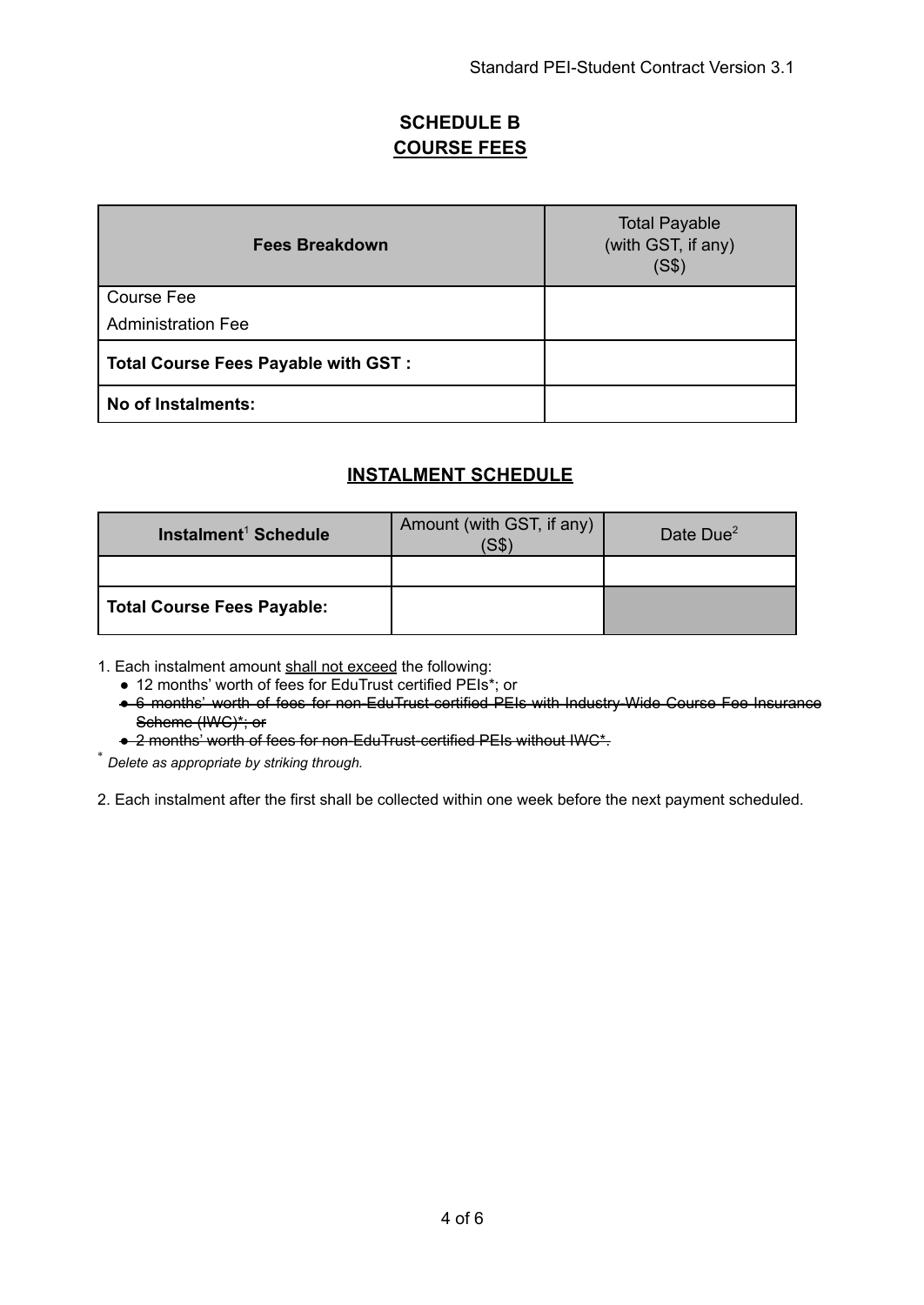### **SCHEDULE B COURSE FEES**

| <b>Fees Breakdown</b>                      | <b>Total Payable</b><br>(with GST, if any)<br>(S\$) |
|--------------------------------------------|-----------------------------------------------------|
| <b>Course Fee</b>                          |                                                     |
| <b>Administration Fee</b>                  |                                                     |
| <b>Total Course Fees Payable with GST:</b> |                                                     |
| No of Instalments:                         |                                                     |

### **INSTALMENT SCHEDULE**

| Instalment <sup>1</sup> Schedule  | Amount (with GST, if any)<br>S\$` | Date Due <sup>2</sup> |
|-----------------------------------|-----------------------------------|-----------------------|
|                                   |                                   |                       |
| <b>Total Course Fees Payable:</b> |                                   |                       |

1. Each instalment amount shall not exceed the following:

● 12 months' worth of fees for EduTrust certified PEIs\*; or

● 6 months' worth of fees for non-EduTrust-certified PEIs with Industry-Wide Course Fee Insurance Scheme (IWC)\*; or

● 2 months' worth of fees for non-EduTrust-certified PEIs without IWC\*.

\* *Delete as appropriate by striking through.*

2. Each instalment after the first shall be collected within one week before the next payment scheduled.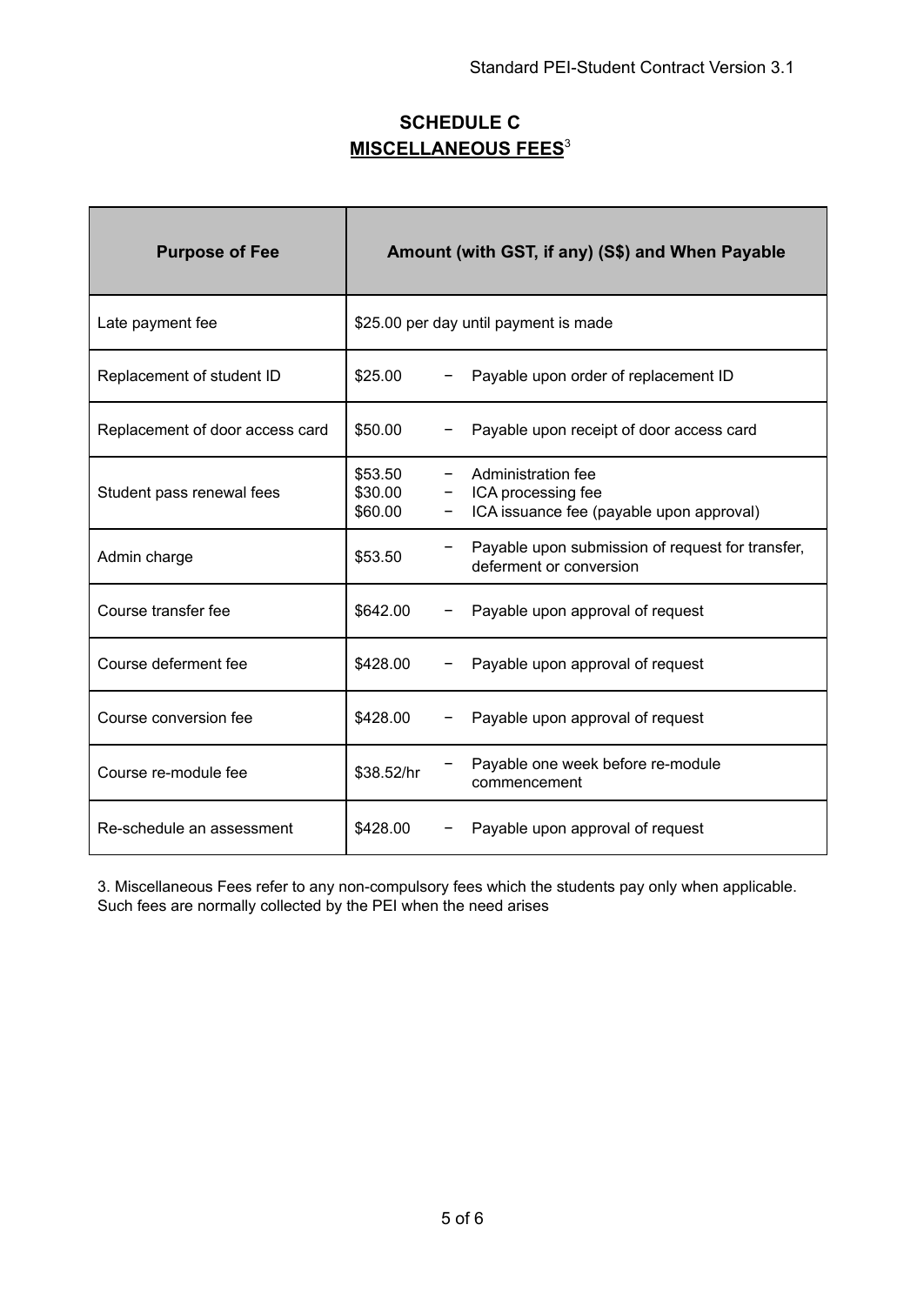## **SCHEDULE C MISCELLANEOUS FEES**<sup>3</sup>

| <b>Purpose of Fee</b>           | Amount (with GST, if any) (S\$) and When Payable |  |                                                                                      |  |
|---------------------------------|--------------------------------------------------|--|--------------------------------------------------------------------------------------|--|
| Late payment fee                | \$25.00 per day until payment is made            |  |                                                                                      |  |
| Replacement of student ID       | \$25.00                                          |  | Payable upon order of replacement ID                                                 |  |
| Replacement of door access card | \$50.00                                          |  | Payable upon receipt of door access card                                             |  |
| Student pass renewal fees       | \$53.50<br>\$30.00<br>\$60.00                    |  | Administration fee<br>ICA processing fee<br>ICA issuance fee (payable upon approval) |  |
| Admin charge                    | \$53.50                                          |  | Payable upon submission of request for transfer,<br>deferment or conversion          |  |
| Course transfer fee             | \$642.00                                         |  | Payable upon approval of request                                                     |  |
| Course deferment fee            | \$428.00                                         |  | Payable upon approval of request                                                     |  |
| Course conversion fee           | \$428.00                                         |  | Payable upon approval of request                                                     |  |
| Course re-module fee            | \$38.52/hr                                       |  | Payable one week before re-module<br>commencement                                    |  |
| Re-schedule an assessment       | \$428.00                                         |  | Payable upon approval of request                                                     |  |

3. Miscellaneous Fees refer to any non-compulsory fees which the students pay only when applicable. Such fees are normally collected by the PEI when the need arises